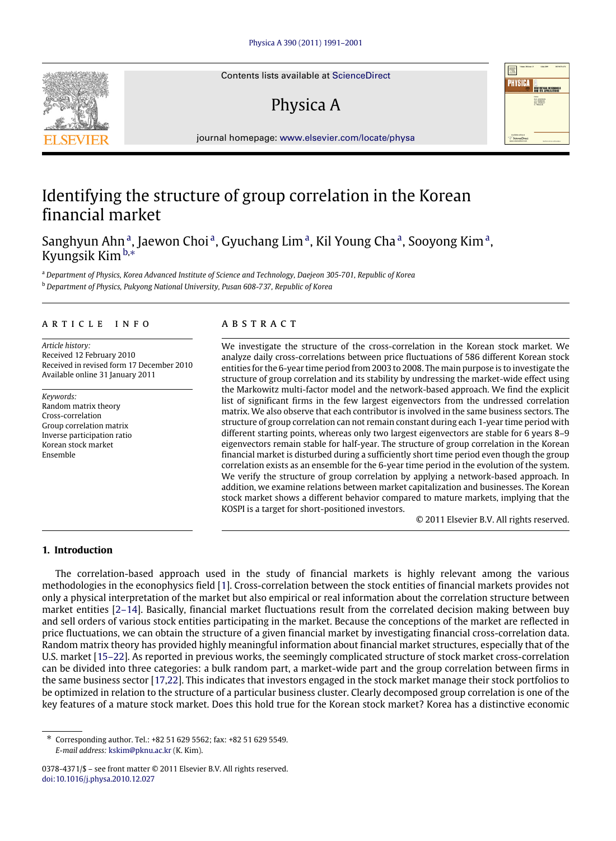Contents lists available at [ScienceDirect](http://www.elsevier.com/locate/physa)

# Physica A



journal homepage: [www.elsevier.com/locate/physa](http://www.elsevier.com/locate/physa)

## Identifying the structure of group correlation in the Korean financial market

S[a](#page-0-0)nghyun Ahn<sup>a</sup>, Jaewon Choi<sup>a</sup>, Gyuchang Lim<sup>a</sup>, Kil Young Cha<sup>a</sup>, Sooyong Kim<sup>a</sup>, Kyungsik Kim[b,](#page-0-1)[∗](#page-0-2)

<span id="page-0-0"></span><sup>a</sup> *Department of Physics, Korea Advanced Institute of Science and Technology, Daejeon 305-701, Republic of Korea*

<span id="page-0-1"></span><sup>b</sup> *Department of Physics, Pukyong National University, Pusan 608-737, Republic of Korea*

### a r t i c l e i n f o

*Article history:* Received 12 February 2010 Received in revised form 17 December 2010 Available online 31 January 2011

*Keywords:* Random matrix theory Cross-correlation Group correlation matrix Inverse participation ratio Korean stock market Ensemble

### A B S T R A C T

We investigate the structure of the cross-correlation in the Korean stock market. We analyze daily cross-correlations between price fluctuations of 586 different Korean stock entities for the 6-year time period from 2003 to 2008. The main purpose is to investigate the structure of group correlation and its stability by undressing the market-wide effect using the Markowitz multi-factor model and the network-based approach. We find the explicit list of significant firms in the few largest eigenvectors from the undressed correlation matrix. We also observe that each contributor is involved in the same business sectors. The structure of group correlation can not remain constant during each 1-year time period with different starting points, whereas only two largest eigenvectors are stable for 6 years 8–9 eigenvectors remain stable for half-year. The structure of group correlation in the Korean financial market is disturbed during a sufficiently short time period even though the group correlation exists as an ensemble for the 6-year time period in the evolution of the system. We verify the structure of group correlation by applying a network-based approach. In addition, we examine relations between market capitalization and businesses. The Korean stock market shows a different behavior compared to mature markets, implying that the KOSPI is a target for short-positioned investors.

© 2011 Elsevier B.V. All rights reserved.

### **1. Introduction**

The correlation-based approach used in the study of financial markets is highly relevant among the various methodologies in the econophysics field [\[1\]](#page--1-0). Cross-correlation between the stock entities of financial markets provides not only a physical interpretation of the market but also empirical or real information about the correlation structure between market entities [\[2–14\]](#page--1-1). Basically, financial market fluctuations result from the correlated decision making between buy and sell orders of various stock entities participating in the market. Because the conceptions of the market are reflected in price fluctuations, we can obtain the structure of a given financial market by investigating financial cross-correlation data. Random matrix theory has provided highly meaningful information about financial market structures, especially that of the U.S. market [\[15–22\]](#page--1-2). As reported in previous works, the seemingly complicated structure of stock market cross-correlation can be divided into three categories: a bulk random part, a market-wide part and the group correlation between firms in the same business sector [\[17](#page--1-3)[,22\]](#page--1-4). This indicates that investors engaged in the stock market manage their stock portfolios to be optimized in relation to the structure of a particular business cluster. Clearly decomposed group correlation is one of the key features of a mature stock market. Does this hold true for the Korean stock market? Korea has a distinctive economic



<span id="page-0-2"></span><sup>∗</sup> Corresponding author. Tel.: +82 51 629 5562; fax: +82 51 629 5549. *E-mail address:* [kskim@pknu.ac.kr](mailto:kskim@pknu.ac.kr) (K. Kim).

<sup>0378-4371/\$ –</sup> see front matter © 2011 Elsevier B.V. All rights reserved. [doi:10.1016/j.physa.2010.12.027](http://dx.doi.org/10.1016/j.physa.2010.12.027)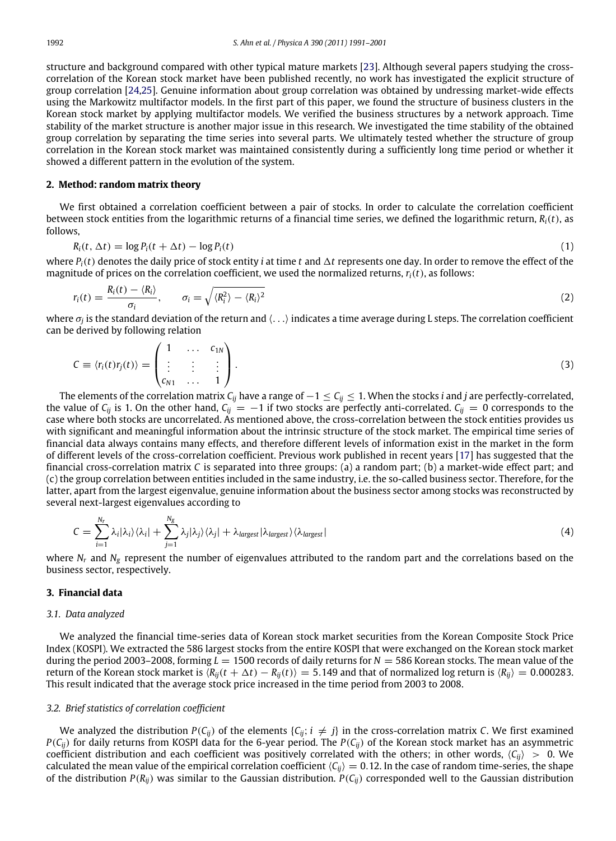structure and background compared with other typical mature markets [\[23\]](#page--1-5). Although several papers studying the crosscorrelation of the Korean stock market have been published recently, no work has investigated the explicit structure of group correlation [\[24](#page--1-6)[,25\]](#page--1-7). Genuine information about group correlation was obtained by undressing market-wide effects using the Markowitz multifactor models. In the first part of this paper, we found the structure of business clusters in the Korean stock market by applying multifactor models. We verified the business structures by a network approach. Time stability of the market structure is another major issue in this research. We investigated the time stability of the obtained group correlation by separating the time series into several parts. We ultimately tested whether the structure of group correlation in the Korean stock market was maintained consistently during a sufficiently long time period or whether it showed a different pattern in the evolution of the system.

#### **2. Method: random matrix theory**

We first obtained a correlation coefficient between a pair of stocks. In order to calculate the correlation coefficient between stock entities from the logarithmic returns of a financial time series, we defined the logarithmic return, *Ri*(*t*), as follows,

$$
R_i(t, \Delta t) = \log P_i(t + \Delta t) - \log P_i(t) \tag{1}
$$

where  $P_i(t)$  denotes the daily price of stock entity *i* at time *t* and  $\Delta t$  represents one day. In order to remove the effect of the magnitude of prices on the correlation coefficient, we used the normalized returns, *ri*(*t*), as follows:

$$
r_i(t) = \frac{R_i(t) - \langle R_i \rangle}{\sigma_i}, \qquad \sigma_i = \sqrt{\langle R_i^2 \rangle - \langle R_i \rangle^2}
$$
\n(2)

where σ*<sup>j</sup>* is the standard deviation of the return and ⟨. . .⟩ indicates a time average during L steps. The correlation coefficient can be derived by following relation

$$
C \equiv \langle r_i(t)r_j(t) \rangle = \begin{pmatrix} 1 & \dots & c_{1N} \\ \vdots & \vdots & \vdots \\ c_{N1} & \dots & 1 \end{pmatrix}.
$$
 (3)

The elements of the correlation matrix *Cij* have a range of −1 ≤ *Cij* ≤ 1. When the stocks *i* and *j* are perfectly-correlated, the value of  $C_{ij}$  is 1. On the other hand,  $C_{ij} = -1$  if two stocks are perfectly anti-correlated.  $C_{ij} = 0$  corresponds to the case where both stocks are uncorrelated. As mentioned above, the cross-correlation between the stock entities provides us with significant and meaningful information about the intrinsic structure of the stock market. The empirical time series of financial data always contains many effects, and therefore different levels of information exist in the market in the form of different levels of the cross-correlation coefficient. Previous work published in recent years [\[17\]](#page--1-3) has suggested that the financial cross-correlation matrix *C* is separated into three groups: (a) a random part; (b) a market-wide effect part; and (c) the group correlation between entities included in the same industry, i.e. the so-called business sector. Therefore, for the latter, apart from the largest eigenvalue, genuine information about the business sector among stocks was reconstructed by several next-largest eigenvalues according to

$$
C = \sum_{i=1}^{N_r} \lambda_i |\lambda_i\rangle \langle \lambda_i| + \sum_{j=1}^{N_g} \lambda_j |\lambda_j\rangle \langle \lambda_j| + \lambda_{\text{largest}} |\lambda_{\text{largest}}\rangle \langle \lambda_{\text{largest}}|
$$
\n(4)

where  $N_r$  and  $N_g$  represent the number of eigenvalues attributed to the random part and the correlations based on the business sector, respectively.

#### **3. Financial data**

#### *3.1. Data analyzed*

We analyzed the financial time-series data of Korean stock market securities from the Korean Composite Stock Price Index (KOSPI). We extracted the 586 largest stocks from the entire KOSPI that were exchanged on the Korean stock market during the period 2003–2008, forming *L* = 1500 records of daily returns for *N* = 586 Korean stocks. The mean value of the return of the Korean stock market is  $\langle R_{ij}(t + \Delta t) - R_{ij}(t) \rangle = 5.149$  and that of normalized log return is  $\langle R_{ij} \rangle = 0.000283$ . This result indicated that the average stock price increased in the time period from 2003 to 2008.

#### *3.2. Brief statistics of correlation coefficient*

We analyzed the distribution  $P(C_{ij})$  of the elements  $\{C_{ij}; i \neq j\}$  in the cross-correlation matrix *C*. We first examined *P*( $C_{ii}$ ) for daily returns from KOSPI data for the 6-year period. The *P*( $C_{ii}$ ) of the Korean stock market has an asymmetric coefficient distribution and each coefficient was positively correlated with the others; in other words,  $\langle C_{ij} \rangle > 0$ . We calculated the mean value of the empirical correlation coefficient  $\langle C_{ij} \rangle = 0.12$ . In the case of random time-series, the shape of the distribution  $P(R_{ij})$  was similar to the Gaussian distribution.  $P(C_{ij})$  corresponded well to the Gaussian distribution